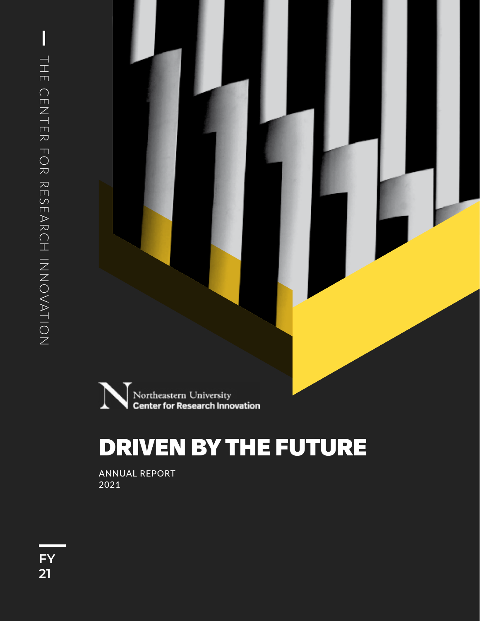

# DRIVEN BY THE FUTURE

ANNUAL REPORT 2021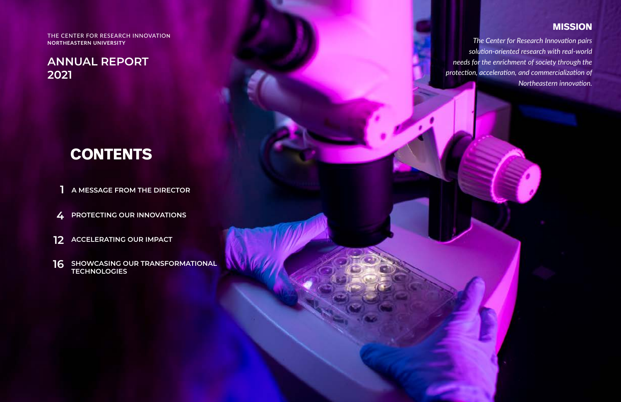THE CENTER FOR RESEARCH INNOVATIO**N NORTHEASTERN UNIVERSITY**

- **A MESSAGE FROM THE DIRECTOR 1**
- **PROTECTING OUR INNOVATIONS 4**
- **12** ACCELERATING OUR IMPACT
- **SHOWCASING OUR TRANSFORMATIONAL TECHNOLOGIES 16**

# **CONTENTS**

**ANNUAL REPORT 2021**

*The Center for Research Innovation pairs solution-oriented research with real-world needs for the enrichment of society through the protection, acceleration, and commercialization of Northeastern innovation.*

### **MISSION**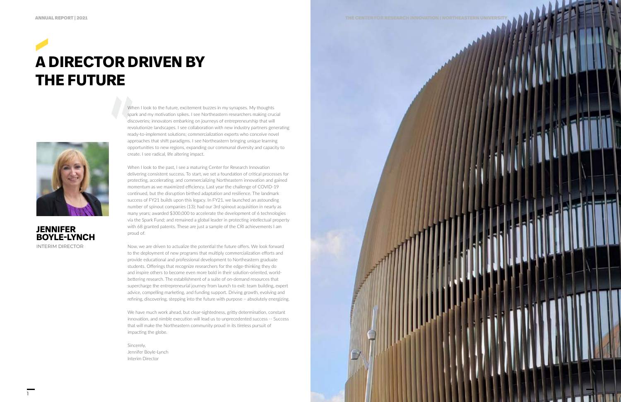# **A DIRECTOR DRIVEN BY THE FUTURE**



When I look to the future, excitement buzzes in my synapses. My thoughts spark and my motivation spikes. I see Northeastern researchers making crucial discoveries; innovators embarking on journeys of entrepreneurship that will revolutionize landscapes. I see collaboration with new industry partners generating ready-to-implement solutions; commercialization experts who conceive novel approaches that shift paradigms. I see Northeastern bringing unique learning opportunities to new regions, expanding our communal diversity and capacity to create. I see radical, life altering impact.

When I look to the past, I see a maturing Center for Research Innovation delivering consistent success. To start, we set a foundation of critical processes for protecting, accelerating, and commercializing Northeastern innovation and gained momentum as we maximized efficiency. Last year the challenge of COVID-19 continued, but the disruption birthed adaptation and resilience. The landmark success of FY21 builds upon this legacy. In FY21, we launched an astounding number of spinout companies (13); had our 3rd spinout acquisition in nearly as many years; awarded \$300,000 to accelerate the development of 6 technologies via the Spark Fund; and remained a global leader in protecting intellectual property with 68 granted patents. These are just a sample of the CRI achievements I am proud of.

Now, we are driven to actualize the potential the future offers. We look forward to the deployment of new programs that multiply commercialization efforts and provide educational and professional development to Northeastern graduate students. Offerings that recognize researchers for the edge-thinking they do and inspire others to become even more bold in their solution-oriented, worldbettering research. The establishment of a suite of on-demand resources that supercharge the entrepreneurial journey from launch to exit: team building, expert advice, compelling marketing, and funding support. Driving growth, evolving and refining, discovering, stepping into the future with purpose – absolutely energizing.

We have much work ahead, but clear-sightedness, gritty determination, constant innovation, and nimble execution will lead us to unprecedented success -- Success that will make the Northeastern community proud in its tireless pursuit of impacting the globe.

Sincerely, Jennifer Boyle-Lynch Interim Director



**JENNIFER BOYLE-LYNCH** INTERIM DIRECTOR

1

2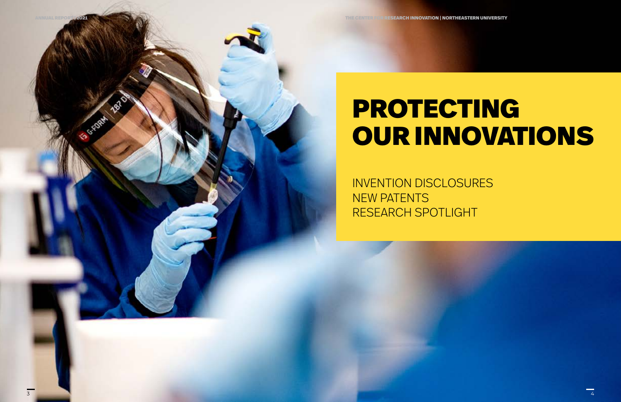# PROTECTING OUR INNOVATIONS

INVENTION DISCLOSURES NEW PATENTS RESEARCH SPOTLIGHT

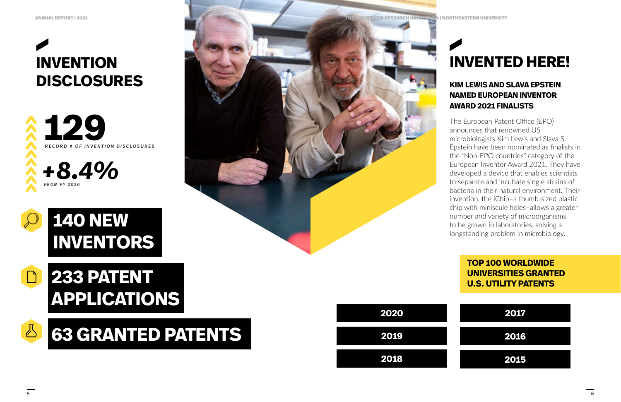



### **TOP 100 WORLDWIDE UNIVERSITIES GRANTED U.S. UTILITY PATENTS**

# **233 PATENT APPLICATIONS**

# **140 NEW INVENTORS**





# **INVENTION DISCLOSURES**

# **INVENTED HERE!**

### **KIM LEWIS AND SLAVA EPSTEIN NAMED EUROPEAN INVENTOR AWARD 2021 FINALISTS**

The European Patent Office (EPO) announces that renowned US microbiologists Kim Lewis and Slava S. Epstein have been nominated as finalists in the "Non-EPO countries" category of the European Inventor Award 2021. They have developed a device that enables scientists to separate and incubate single strains of bacteria in their natural environment. Their invention, the iChip–a thumb-sized plastic chip with miniscule holes–allows a greater number and variety of microorganisms to be grown in laboratories, solving a longstanding problem in microbiology.





5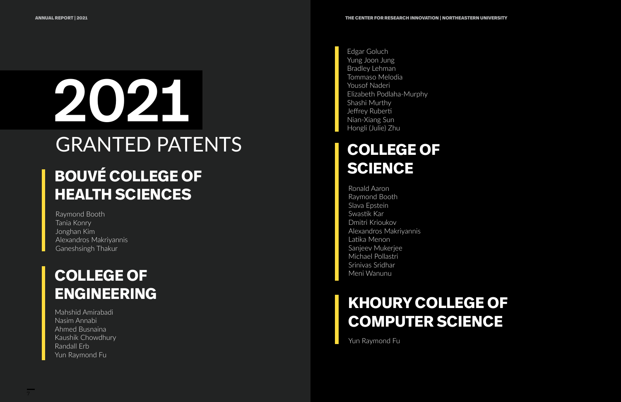Ronald Aaron Raymond Booth Slava Epstein Swastik Kar Dmitri Krioukov Alexandros Makriyannis Latika Menon Sanjeev Mukerjee Michael Pollastri Srinivas Sridhar Meni Wanunu

Yun Raymond Fu

# **KHOURY COLLEGE OF COMPUTER SCIENCE**

# **COLLEGE OF SCIENCE**

# **COLLEGE OF ENGINEERING**

# 2021 GRANTED PATENTS **BOUVÉ COLLEGE OF HEALTH SCIENCES**

Raymond Booth Tania Konry Jonghan Kim Alexandros Makriyannis Ganeshsingh Thakur

Mahshid Amirabadi Nasim Annabi Ahmed Busnaina Kaushik Chowdhury Randall Erb Yun Raymond Fu

Edgar Goluch Yung Joon Jung Bradley Lehman Tommaso Melodia Yousof Naderi Elizabeth Podlaha-Murphy Shashi Murthy Jeffrey Ruberti Nian-Xiang Sun Hongli (Julie) Zhu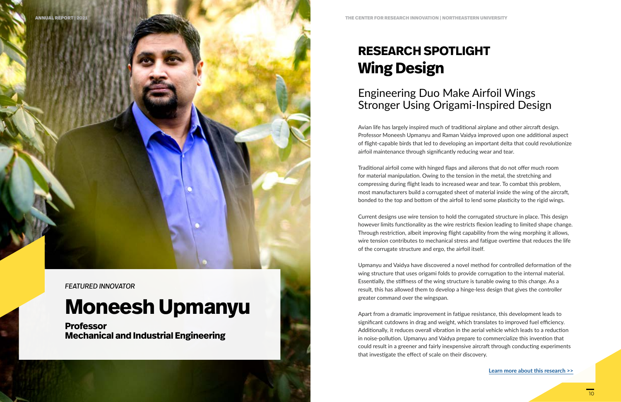# **RESEARCH SPOTLIGHT Wing Design**

## Engineering Duo Make Airfoil Wings Stronger Using Origami-Inspired Design

Avian life has largely inspired much of traditional airplane and other aircraft design. Professor Moneesh Upmanyu and Raman Vaidya improved upon one additional aspect of flight-capable birds that led to developing an important delta that could revolutionize airfoil maintenance through significantly reducing wear and tear.

Traditional airfoil come with hinged flaps and ailerons that do not offer much room for material manipulation. Owing to the tension in the metal, the stretching and compressing during flight leads to increased wear and tear. To combat this problem, most manufacturers build a corrugated sheet of material inside the wing of the aircraft, bonded to the top and bottom of the airfoil to lend some plasticity to the rigid wings.

Current designs use wire tension to hold the corrugated structure in place. This design however limits functionality as the wire restricts flexion leading to limited shape change. Through restriction, albeit improving flight capability from the wing morphing it allows, wire tension contributes to mechanical stress and fatigue overtime that reduces the life of the corrugate structure and ergo, the airfoil itself.

Upmanyu and Vaidya have discovered a novel method for controlled deformation of the wing structure that uses origami folds to provide corrugation to the internal material. Essentially, the stiffness of the wing structure is tunable owing to this change. As a result, this has allowed them to develop a hinge-less design that gives the controller greater command over the wingspan.

Apart from a dramatic improvement in fatigue resistance, this development leads to significant cutdowns in drag and weight, which translates to improved fuel efficiency. Additionally, it reduces overall vibration in the aerial vehicle which leads to a reduction in noise-pollution. Upmanyu and Vaidya prepare to commercialize this invention that could result in a greener and fairly inexpensive aircraft through conducting experiments that investigate the effect of scale on their discovery.

**[Learn more about this research >>](https://app.in-part.com/technologies/3qMg9Kzd794E)**

*FEATURED INNOVATOR*

# **Moneesh Upmanyu**

**Professor Mechanical and Industrial Engineering**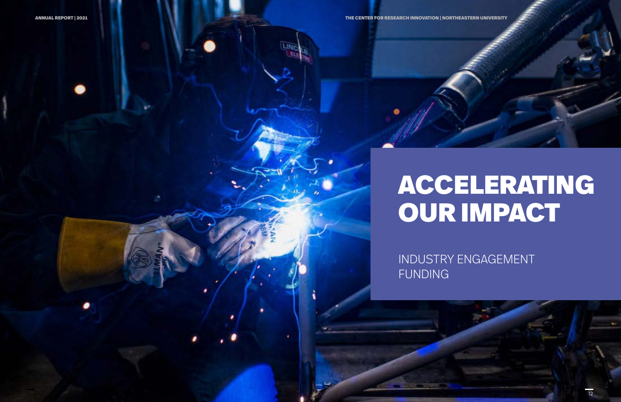# ACCELERATING OUR IMPACT

## INDUSTRY ENGAGEMENT

FUNDING

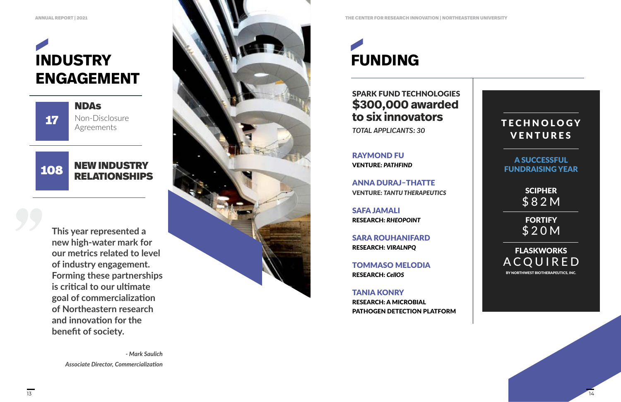**This year represented a new high-water mark for our metrics related to level of industry engagement. Forming these partnerships is critical to our ultimate goal of commercialization of Northeastern research and innovation for the benefit of society.**

> *- Mark Saulich Associate Director, Commercialization*

# **INDUSTRY ENGAGEMENT**



RAYMOND FU VENTURE: *PATHFIND*

ANNA DURAJ–THATTE VENTURE: *TANTU THERAPEUTICS*

SAFA JAMALI RESEARCH: *RHEOPOINT*

SARA ROUHANIFARD RESEARCH: *VIRALNPQ*

TOMMASO MELODIA RESEARCH: *CellOS*

#### NEW INDUSTRY RELATIONSHIPS 108

Non-Disclosure Agreements NDAs 17

> TANIA KONRY RESEARCH: A MICROBIAL PATHOGEN DETECTION PLATFORM

### SPARK FUND TECHNOLOGIES **\$300,000 awarded to six innovators**

*TOTAL APPLICANTS: 30*



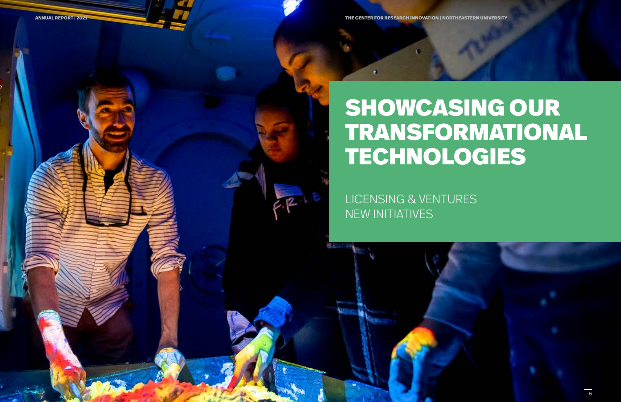# SHOWCASING OUR TRANSFORMATIONAL TECHNOLOGIES

LICENSING & VENTURES NEW INITIATIVES

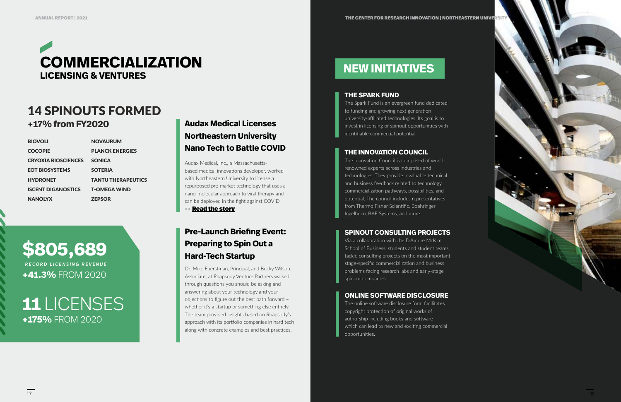*RECORD LICENSING REVENUE* **+41.3%** FROM 2020

# **\$805,689**

Dr. Mike Fuerstman, Principal, and Becky Wilson, Associate, at Rhapsody Venture Partners walked through questions you should be asking and answering about your technology and your objections to figure out the best path forward – whether it's a startup or something else entirely. The team provided insights based on Rhapsody's approach with its portfolio companies in hard tech along with concrete examples and best practices.



### 14 SPINOUTS FORMED **+17% from FY2020**

| <b>BIOVOLI</b>             | <b>NOVAURUM</b>           |
|----------------------------|---------------------------|
| <b>COCOPIE</b>             | <b>PLANCK ENERGIES</b>    |
| <b>CRYOXIA BIOSCIENCES</b> | <b>SONICA</b>             |
| <b>EOT BIOSYSTEMS</b>      | <b>SOTERIA</b>            |
| <b>HYDRONET</b>            | <b>TANTU THERAPEUTICS</b> |
| <b>ISCENT DIGANOSTICS</b>  | <b>T-OMEGA WIND</b>       |
| <b>NANOLYX</b>             | <b>ZEPSOR</b>             |
|                            |                           |

#### **THE SPARK FUND**

The Spark Fund is an evergreen fund dedicated to funding and growing next generation university-affiliated technologies. Its goal is to invest in licensing or spinout opportunities with identifiable commercial potential.

**11** LICENSES **+175%** FROM 2020

### **THE INNOVATION COUNCIL**

The Innovation Council is comprised of worldrenowned experts across industries and technologies. They provide invaluable technical and business feedback related to technology commercialization pathways, possibilities, and potential. The council includes representatives from Thermo Fisher Scientific, Boehringer Ingelheim, BAE Systems, and more.

### **SPINOUT CONSULTING PROJECTS**

Via a collaboration with the D'Amore McKim School of Business, students and student teams tackle consulting projects on the most important stage-specific commercialization and business problems facing research labs and early-stage spinout companies.

### **ONLINE SOFTWARE DISCLOSURE**

The online software disclosure form facilitates copyright protection of original works of authorship including books and software which can lead to new and exciting commercial opportunities.

### **Audax Medical Licenses Northeastern University Nano Tech to Battle COVID**

Audax Medical, Inc., a Massachusettsbased medical innovations developer, worked with Northeastern University to license a repurposed pre-market technology that uses a nano-molecular approach to viral therapy and can be deployed in the fight against COVID.

>> **[Read the story](https://autm.net/about-tech-transfer/better-world-project/bwp-stories/audax-medical-nano-tech)** 

### **Pre-Launch Briefing Event: Preparing to Spin Out a Hard-Tech Startup**

### **NEW INITIATIVES**

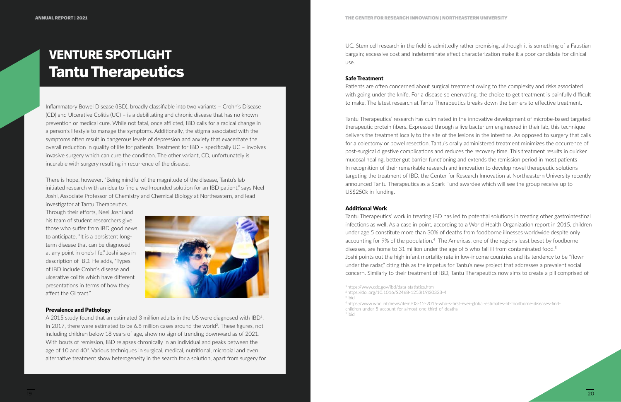# **VENTURE SPOTLIGHT Tantu Therapeutics**

Inflammatory Bowel Disease (IBD), broadly classifiable into two variants – Crohn's Disease (CD) and Ulcerative Colitis (UC) – is a debilitating and chronic disease that has no known prevention or medical cure. While not fatal, once afflicted, IBD calls for a radical change in a person's lifestyle to manage the symptoms. Additionally, the stigma associated with the symptoms often result in dangerous levels of depression and anxiety that exacerbate the overall reduction in quality of life for patients. Treatment for IBD – specifically UC – involves invasive surgery which can cure the condition. The other variant, CD, unfortunately is incurable with surgery resulting in recurrence of the disease.

There is hope, however. "Being mindful of the magnitude of the disease, Tantu's lab initiated research with an idea to find a well-rounded solution for an IBD patient," says Neel Joshi, Associate Professor of Chemistry and Chemical Biology at Northeastern, and lead investigator at Tantu Therapeutics.

Through their efforts, Neel Joshi and his team of student researchers give those who suffer from IBD good news to anticipate. "It is a persistent longterm disease that can be diagnosed at any point in one's life," Joshi says in description of IBD. He adds, "Types of IBD include Crohn's disease and ulcerative colitis which have different presentations in terms of how they affect the GI tract."



#### Prevalence and Pathology

A 2015 study found that an estimated 3 million adults in the US were diagnosed with IBD1. In 2017, there were estimated to be 6.8 million cases around the world<sup>2</sup>. These figures, not including children below 18 years of age, show no sign of trending downward as of 2021. With bouts of remission, IBD relapses chronically in an individual and peaks between the age of 10 and 40<sup>3</sup>. Various techniques in surgical, medical, nutritional, microbial and even alternative treatment show heterogeneity in the search for a solution, apart from surgery for UC. Stem cell research in the field is admittedly rather promising, although it is something of a Faustian bargain; excessive cost and indeterminate effect characterization make it a poor candidate for clinical use.

#### Safe Treatment

Patients are often concerned about surgical treatment owing to the complexity and risks associated with going under the knife. For a disease so enervating, the choice to get treatment is painfully difficult to make. The latest research at Tantu Therapeutics breaks down the barriers to effective treatment.

Tantu Therapeutics' research has culminated in the innovative development of microbe-based targeted therapeutic protein fibers. Expressed through a live bacterium engineered in their lab, this technique delivers the treatment locally to the site of the lesions in the intestine. As opposed to surgery that calls for a colectomy or bowel resection, Tantu's orally administered treatment minimizes the occurrence of post-surgical digestive complications and reduces the recovery time. This treatment results in quicker mucosal healing, better gut barrier functioning and extends the remission period in most patients In recognition of their remarkable research and innovation to develop novel therapeutic solutions targeting the treatment of IBD, the Center for Research Innovation at Northeastern University recently announced Tantu Therapeutics as a Spark Fund awardee which will see the group receive up to US\$250k in funding.

#### Additional Work

Tantu Therapeutics' work in treating IBD has led to potential solutions in treating other gastrointestinal infections as well. As a case in point, according to a World Health Organization report in 2015, children under age 5 constitute more than 30% of deaths from foodborne illnesses worldwide despite only accounting for 9% of the population.<sup>4</sup> The Americas, one of the regions least beset by foodborne diseases, are home to 31 million under the age of 5 who fall ill from contaminated food.<sup>5</sup> Joshi points out the high infant mortality rate in low-income countries and its tendency to be "flown under the radar," citing this as the impetus for Tantu's new project that addresses a prevalent social concern. Similarly to their treatment of IBD, Tantu Therapeutics now aims to create a pill comprised of



<sup>1</sup> https://www.cdc.gov/ibd/data-statistics.htm <sup>2</sup>https://doi.org/10.1016/S2468-1253(19)30333-4 <sup>3</sup>ibid

<sup>4</sup> https://www.who.int/news/item/03-12-2015-who-s-first-ever-global-estimates-of-foodborne-diseases-findchildren-under-5-account-for-almost-one-third-of-deaths <sup>5</sup>ibid